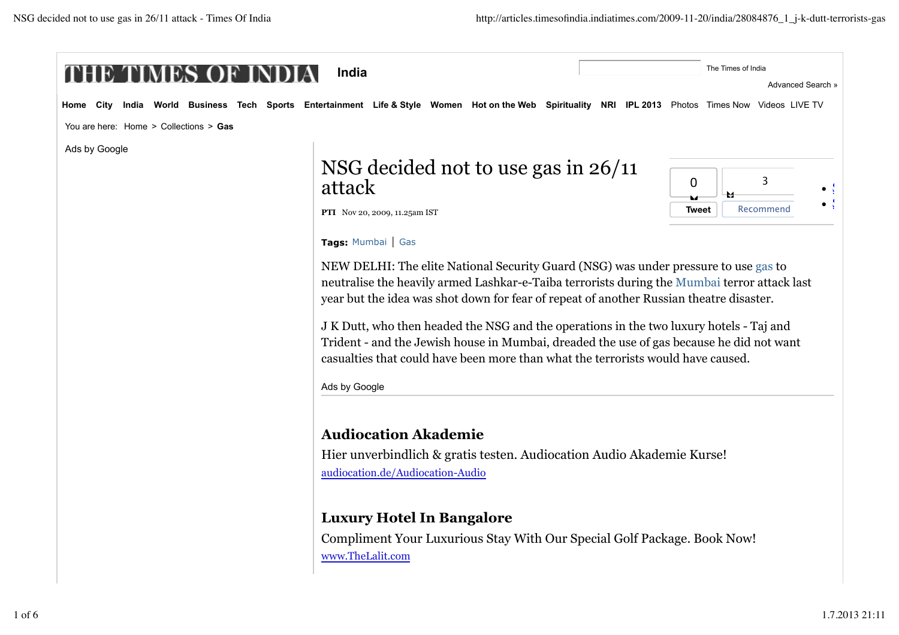| Home<br>City                           | India World Business Tech Sports Entertainment Life & Style Women Hot on the Web Spirituality NRI IPL 2013 Photos Times Now Videos LIVE TV                                                                                                                              |                                                                                                                                                                                                                                                                                |  |
|----------------------------------------|-------------------------------------------------------------------------------------------------------------------------------------------------------------------------------------------------------------------------------------------------------------------------|--------------------------------------------------------------------------------------------------------------------------------------------------------------------------------------------------------------------------------------------------------------------------------|--|
| You are here: Home > Collections > Gas |                                                                                                                                                                                                                                                                         |                                                                                                                                                                                                                                                                                |  |
| Ads by Google                          |                                                                                                                                                                                                                                                                         |                                                                                                                                                                                                                                                                                |  |
|                                        | NSG decided not to use gas in $26/11$<br>attack                                                                                                                                                                                                                         | 3<br>$\mathbf 0$                                                                                                                                                                                                                                                               |  |
|                                        | PTI Nov 20, 2009, 11.25am IST                                                                                                                                                                                                                                           | Recommend<br><b>Tweet</b>                                                                                                                                                                                                                                                      |  |
|                                        | Tags: Mumbai   Gas                                                                                                                                                                                                                                                      |                                                                                                                                                                                                                                                                                |  |
|                                        |                                                                                                                                                                                                                                                                         | NEW DELHI: The elite National Security Guard (NSG) was under pressure to use gas to<br>neutralise the heavily armed Lashkar-e-Taiba terrorists during the Mumbai terror attack last<br>year but the idea was shot down for fear of repeat of another Russian theatre disaster. |  |
|                                        | J K Dutt, who then headed the NSG and the operations in the two luxury hotels - Taj and<br>Trident - and the Jewish house in Mumbai, dreaded the use of gas because he did not want<br>casualties that could have been more than what the terrorists would have caused. |                                                                                                                                                                                                                                                                                |  |
|                                        | Ads by Google                                                                                                                                                                                                                                                           |                                                                                                                                                                                                                                                                                |  |
|                                        | <b>Audiocation Akademie</b>                                                                                                                                                                                                                                             |                                                                                                                                                                                                                                                                                |  |
|                                        | Hier unverbindlich & gratis testen. Audiocation Audio Akademie Kurse!                                                                                                                                                                                                   |                                                                                                                                                                                                                                                                                |  |
|                                        | audiocation.de/Audiocation-Audio                                                                                                                                                                                                                                        |                                                                                                                                                                                                                                                                                |  |
|                                        | <b>Luxury Hotel In Bangalore</b>                                                                                                                                                                                                                                        |                                                                                                                                                                                                                                                                                |  |
|                                        |                                                                                                                                                                                                                                                                         |                                                                                                                                                                                                                                                                                |  |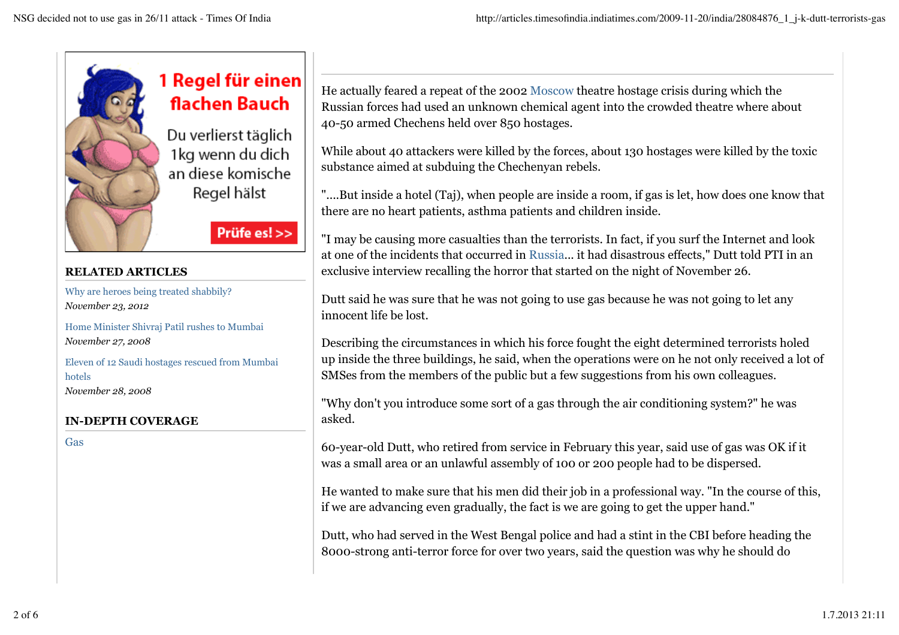

## 1 Regel für einen flachen Bauch

Du verlierst täglich 1kg wenn du dich an diese komische Regel hälst

Prüfe es! >>

## **RELATED ARTICLES**

Why are heroes being treated shabbily? *November 23, 2012*

Home Minister Shivraj Patil rushes to Mumbai *November 27, 2008*

Eleven of 12 Saudi hostages rescued from Mumbai hotels *November 28, 2008*

## **IN-DEPTH COVERAGE**

Gas

He actually feared a repeat of the 2002 Moscow theatre hostage crisis during which the Russian forces had used an unknown chemical agent into the crowded theatre where about 40-50 armed Chechens held over 850 hostages.

While about 40 attackers were killed by the forces, about 130 hostages were killed by the toxic substance aimed at subduing the Chechenyan rebels.

"....But inside a hotel (Taj), when people are inside a room, if gas is let, how does one know that there are no heart patients, asthma patients and children inside.

"I may be causing more casualties than the terrorists. In fact, if you surf the Internet and look at one of the incidents that occurred in Russia... it had disastrous effects," Dutt told PTI in an exclusive interview recalling the horror that started on the night of November 26.

Dutt said he was sure that he was not going to use gas because he was not going to let any innocent life be lost.

Describing the circumstances in which his force fought the eight determined terrorists holed up inside the three buildings, he said, when the operations were on he not only received a lot of SMSes from the members of the public but a few suggestions from his own colleagues.

"Why don't you introduce some sort of a gas through the air conditioning system?" he was asked.

60-year-old Dutt, who retired from service in February this year, said use of gas was OK if it was a small area or an unlawful assembly of 100 or 200 people had to be dispersed.

He wanted to make sure that his men did their job in a professional way. "In the course of this, if we are advancing even gradually, the fact is we are going to get the upper hand."

Dutt, who had served in the West Bengal police and had a stint in the CBI before heading the 8000-strong anti-terror force for over two years, said the question was why he should do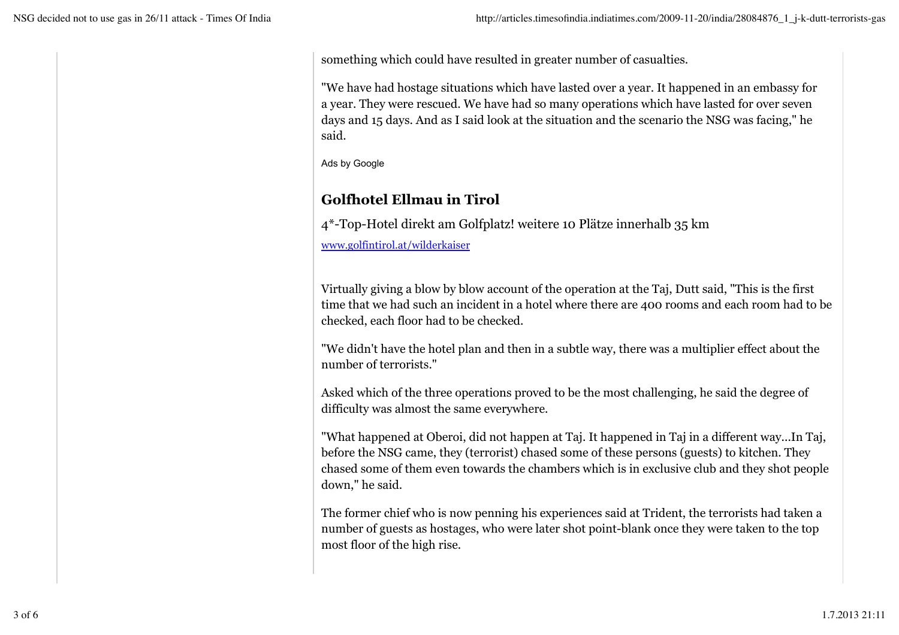something which could have resulted in greater number of casualties.

"We have had hostage situations which have lasted over a year. It happened in an embassy for a year. They were rescued. We have had so many operations which have lasted for over seven days and 15 days. And as I said look at the situation and the scenario the NSG was facing," he said.

Ads by Google

## **Golfhotel Ellmau in Tirol**

4\*-Top-Hotel direkt am Golfplatz! weitere 10 Plätze innerhalb 35 km www.golfintirol.at/wilderkaiser

Virtually giving a blow by blow account of the operation at the Taj, Dutt said, "This is the first time that we had such an incident in a hotel where there are 400 rooms and each room had to be checked, each floor had to be checked.

"We didn't have the hotel plan and then in a subtle way, there was a multiplier effect about the number of terrorists."

Asked which of the three operations proved to be the most challenging, he said the degree of difficulty was almost the same everywhere.

"What happened at Oberoi, did not happen at Taj. It happened in Taj in a different way...In Taj, before the NSG came, they (terrorist) chased some of these persons (guests) to kitchen. They chased some of them even towards the chambers which is in exclusive club and they shot people down," he said.

The former chief who is now penning his experiences said at Trident, the terrorists had taken a number of guests as hostages, who were later shot point-blank once they were taken to the top most floor of the high rise.